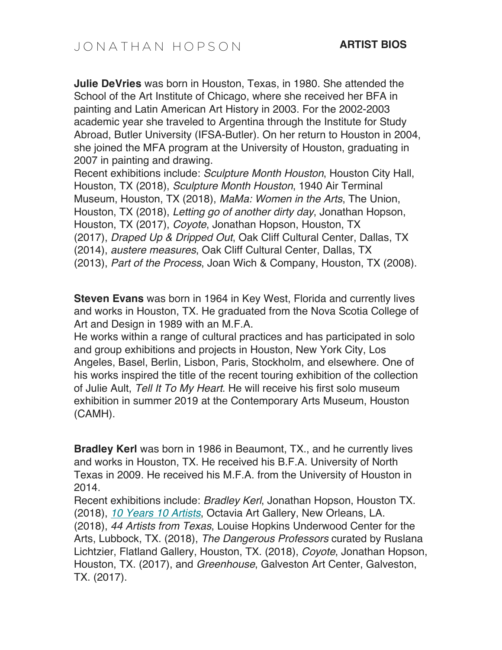**Julie DeVries** was born in Houston, Texas, in 1980. She attended the School of the Art Institute of Chicago, where she received her BFA in painting and Latin American Art History in 2003. For the 2002-2003 academic year she traveled to Argentina through the Institute for Study Abroad, Butler University (IFSA-Butler). On her return to Houston in 2004, she joined the MFA program at the University of Houston, graduating in 2007 in painting and drawing.

Recent exhibitions include: *Sculpture Month Houston*, Houston City Hall, Houston, TX (2018), *Sculpture Month Houston*, 1940 Air Terminal Museum, Houston, TX (2018), *MaMa: Women in the Arts*, The Union, Houston, TX (2018), *Letting go of another dirty day*, Jonathan Hopson, Houston, TX (2017), *Coyote*, Jonathan Hopson, Houston, TX (2017), *Draped Up & Dripped Out*, Oak Cliff Cultural Center, Dallas, TX (2014), *austere measures*, Oak Cliff Cultural Center, Dallas, TX (2013), *Part of the Process*, Joan Wich & Company, Houston, TX (2008).

**Steven Evans** was born in 1964 in Key West, Florida and currently lives and works in Houston, TX. He graduated from the Nova Scotia College of Art and Design in 1989 with an M.F.A.

He works within a range of cultural practices and has participated in solo and group exhibitions and projects in Houston, New York City, Los Angeles, Basel, Berlin, Lisbon, Paris, Stockholm, and elsewhere. One of his works inspired the title of the recent touring exhibition of the collection of Julie Ault, *Tell It To My Heart*. He will receive his first solo museum exhibition in summer 2019 at the Contemporary Arts Museum, Houston (CAMH).

**Bradley Kerl** was born in 1986 in Beaumont, TX., and he currently lives and works in Houston, TX. He received his B.F.A. University of North Texas in 2009. He received his M.F.A. from the University of Houston in 2014.

Recent exhibitions include: *Bradley Kerl*, Jonathan Hopson, Houston TX. (2018), *10 Years 10 Artists*, Octavia Art Gallery, New Orleans, LA. (2018), *44 Artists from Texas*, Louise Hopkins Underwood Center for the Arts, Lubbock, TX. (2018), *The Dangerous Professors* curated by Ruslana Lichtzier, Flatland Gallery, Houston, TX. (2018), *Coyote*, Jonathan Hopson, Houston, TX. (2017), and *Greenhouse*, Galveston Art Center, Galveston, TX. (2017).